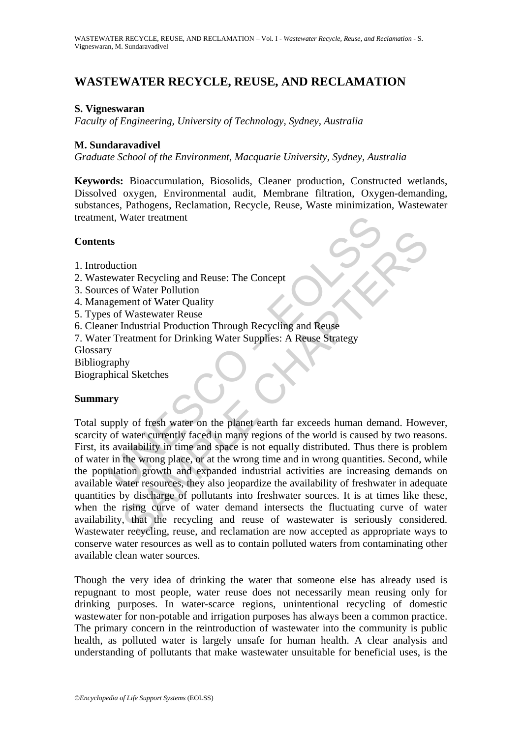# **WASTEWATER RECYCLE, REUSE, AND RECLAMATION**

#### **S. Vigneswaran**

*Faculty of Engineering, University of Technology, Sydney, Australia* 

#### **M. Sundaravadivel**

*Graduate School of the Environment, Macquarie University, Sydney, Australia* 

**Keywords:** Bioaccumulation, Biosolids, Cleaner production, Constructed wetlands, Dissolved oxygen, Environmental audit, Membrane filtration, Oxygen-demanding, substances, Pathogens, Reclamation, Recycle, Reuse, Waste minimization, Wastewater treatment, Water treatment

#### **Contents**

- 1. Introduction
- 2. Wastewater Recycling and Reuse: The Concept
- 3. Sources of Water Pollution
- 4. Management of Water Quality
- 5. Types of Wastewater Reuse
- 6. Cleaner Industrial Production Through Recycling and Reuse
- 7. Water Treatment for Drinking Water Supplies: A Reuse Strategy
- Glossary
- Bibliography
- Biographical Sketches

#### **Summary**

Interior<br>
Its<br>
Succion<br>
Succion<br>
Succion<br>
Succion<br>
Succion<br>
Succion<br>
Succion<br>
Succion<br>
Succion<br>
Succion<br>
Succion<br>
The Concept<br>
Succion<br>
Succion<br>
Tradistical Production Through Recycling and Reuse<br>
Strategy<br>
Succion<br>
Succio The Conception<br>
State Recycling and Reuse: The Concept<br>
of Water Pollution<br>
ment of Water Pollution<br>
Imdustrial Production Through Recycling and Reuse<br>
Endustrial Production Through Recycling and Reuse<br>
by<br>
by<br>
al Sketches Total supply of fresh water on the planet earth far exceeds human demand. However, scarcity of water currently faced in many regions of the world is caused by two reasons. First, its availability in time and space is not equally distributed. Thus there is problem of water in the wrong place, or at the wrong time and in wrong quantities. Second, while the population growth and expanded industrial activities are increasing demands on available water resources, they also jeopardize the availability of freshwater in adequate quantities by discharge of pollutants into freshwater sources. It is at times like these, when the rising curve of water demand intersects the fluctuating curve of water availability, that the recycling and reuse of wastewater is seriously considered. Wastewater recycling, reuse, and reclamation are now accepted as appropriate ways to conserve water resources as well as to contain polluted waters from contaminating other available clean water sources.

Though the very idea of drinking the water that someone else has already used is repugnant to most people, water reuse does not necessarily mean reusing only for drinking purposes. In water-scarce regions, unintentional recycling of domestic wastewater for non-potable and irrigation purposes has always been a common practice. The primary concern in the reintroduction of wastewater into the community is public health, as polluted water is largely unsafe for human health. A clear analysis and understanding of pollutants that make wastewater unsuitable for beneficial uses, is the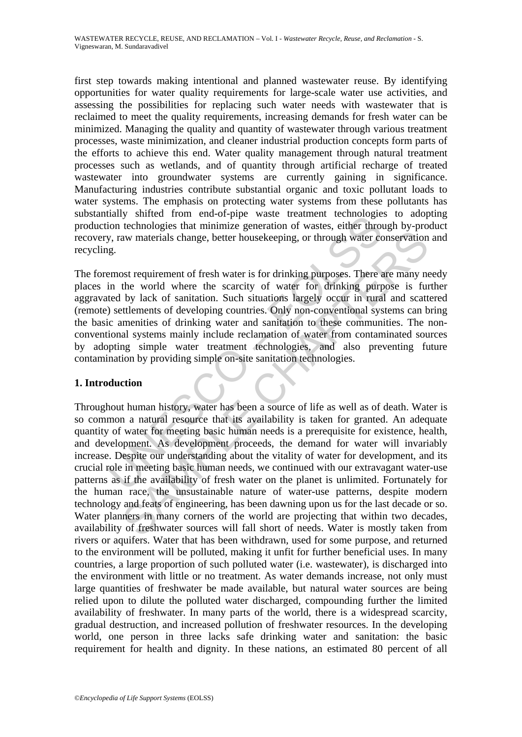first step towards making intentional and planned wastewater reuse. By identifying opportunities for water quality requirements for large-scale water use activities, and assessing the possibilities for replacing such water needs with wastewater that is reclaimed to meet the quality requirements, increasing demands for fresh water can be minimized. Managing the quality and quantity of wastewater through various treatment processes, waste minimization, and cleaner industrial production concepts form parts of the efforts to achieve this end. Water quality management through natural treatment processes such as wetlands, and of quantity through artificial recharge of treated wastewater into groundwater systems are currently gaining in significance. Manufacturing industries contribute substantial organic and toxic pollutant loads to water systems. The emphasis on protecting water systems from these pollutants has substantially shifted from end-of-pipe waste treatment technologies to adopting production technologies that minimize generation of wastes, either through by-product recovery, raw materials change, better housekeeping, or through water conservation and recycling.

Mary sinned non-end-o-pipe waste treatment eclinorization<br>on technologies that minimize generation of wastes, either through<br>p, raw materials change, better housekeeping, or through water content of<br>p, raw materials change The foremost requirement of fresh water is for drinking purposes. There are many needy places in the world where the scarcity of water for drinking purpose is further aggravated by lack of sanitation. Such situations largely occur in rural and scattered (remote) settlements of developing countries. Only non-conventional systems can bring the basic amenities of drinking water and sanitation to these communities. The nonconventional systems mainly include reclamation of water from contaminated sources by adopting simple water treatment technologies, and also preventing future contamination by providing simple on-site sanitation technologies.

# **1. Introduction**

as materials change, better housekeeping, or through water conservation<br>ost requirement of fresh water is for drinking purposes. There are many no<br>the world where the scarcity of water for drinking purpose is fur<br>by lack o Throughout human history, water has been a source of life as well as of death. Water is so common a natural resource that its availability is taken for granted. An adequate quantity of water for meeting basic human needs is a prerequisite for existence, health, and development. As development proceeds, the demand for water will invariably increase. Despite our understanding about the vitality of water for development, and its crucial role in meeting basic human needs, we continued with our extravagant water-use patterns as if the availability of fresh water on the planet is unlimited. Fortunately for the human race, the unsustainable nature of water-use patterns, despite modern technology and feats of engineering, has been dawning upon us for the last decade or so. Water planners in many corners of the world are projecting that within two decades, availability of freshwater sources will fall short of needs. Water is mostly taken from rivers or aquifers. Water that has been withdrawn, used for some purpose, and returned to the environment will be polluted, making it unfit for further beneficial uses. In many countries, a large proportion of such polluted water (i.e. wastewater), is discharged into the environment with little or no treatment. As water demands increase, not only must large quantities of freshwater be made available, but natural water sources are being relied upon to dilute the polluted water discharged, compounding further the limited availability of freshwater. In many parts of the world, there is a widespread scarcity, gradual destruction, and increased pollution of freshwater resources. In the developing world, one person in three lacks safe drinking water and sanitation: the basic requirement for health and dignity. In these nations, an estimated 80 percent of all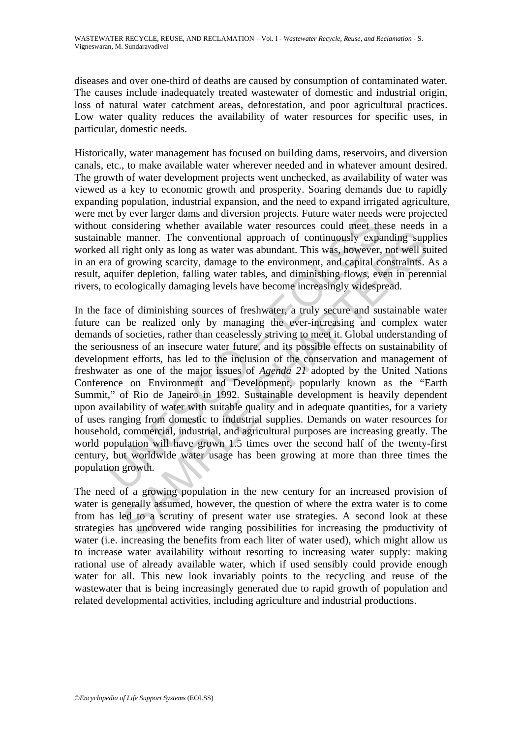diseases and over one-third of deaths are caused by consumption of contaminated water. The causes include inadequately treated wastewater of domestic and industrial origin, loss of natural water catchment areas, deforestation, and poor agricultural practices. Low water quality reduces the availability of water resources for specific uses, in particular, domestic needs.

Historically, water management has focused on building dams, reservoirs, and diversion canals, etc., to make available water wherever needed and in whatever amount desired. The growth of water development projects went unchecked, as availability of water was viewed as a key to economic growth and prosperity. Soaring demands due to rapidly expanding population, industrial expansion, and the need to expand irrigated agriculture, were met by ever larger dams and diversion projects. Future water needs were projected without considering whether available water resources could meet these needs in a sustainable manner. The conventional approach of continuously expanding supplies worked all right only as long as water was abundant. This was, however, not well suited in an era of growing scarcity, damage to the environment, and capital constraints. As a result, aquifer depletion, falling water tables, and diminishing flows, even in perennial rivers, to ecologically damaging levels have become increasingly widespread.

Ever also also also also also considering whether available water resources could meet tho<br>be manner. The conventional approach of continuously expa<br>all right only as long as water was abundant. This was, however,<br>a of gro manner. The conventional approach of continuously expanding sup<br>relationly as long as water was abundant. This was, however, not well st<br>f growing scarcity, damage to the environment, and capital constraints.<br>for depletio In the face of diminishing sources of freshwater, a truly secure and sustainable water future can be realized only by managing the ever-increasing and complex water demands of societies, rather than ceaselessly striving to meet it. Global understanding of the seriousness of an insecure water future, and its possible effects on sustainability of development efforts, has led to the inclusion of the conservation and management of freshwater as one of the major issues of *Agenda 21* adopted by the United Nations Conference on Environment and Development, popularly known as the "Earth Summit," of Rio de Janeiro in 1992. Sustainable development is heavily dependent upon availability of water with suitable quality and in adequate quantities, for a variety of uses ranging from domestic to industrial supplies. Demands on water resources for household, commercial, industrial, and agricultural purposes are increasing greatly. The world population will have grown 1.5 times over the second half of the twenty-first century, but worldwide water usage has been growing at more than three times the population growth.

The need of a growing population in the new century for an increased provision of water is generally assumed, however, the question of where the extra water is to come from has led to a scrutiny of present water use strategies. A second look at these strategies has uncovered wide ranging possibilities for increasing the productivity of water (i.e. increasing the benefits from each liter of water used), which might allow us to increase water availability without resorting to increasing water supply: making rational use of already available water, which if used sensibly could provide enough water for all. This new look invariably points to the recycling and reuse of the wastewater that is being increasingly generated due to rapid growth of population and related developmental activities, including agriculture and industrial productions.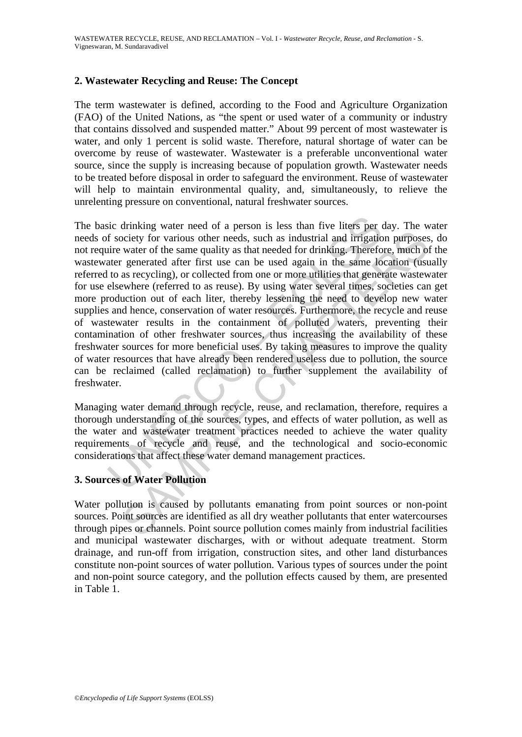# **2. Wastewater Recycling and Reuse: The Concept**

The term wastewater is defined, according to the Food and Agriculture Organization (FAO) of the United Nations, as "the spent or used water of a community or industry that contains dissolved and suspended matter." About 99 percent of most wastewater is water, and only 1 percent is solid waste. Therefore, natural shortage of water can be overcome by reuse of wastewater. Wastewater is a preferable unconventional water source, since the supply is increasing because of population growth. Wastewater needs to be treated before disposal in order to safeguard the environment. Reuse of wastewater will help to maintain environmental quality, and, simultaneously, to relieve the unrelenting pressure on conventional, natural freshwater sources.

sic drinking water need of a person is less than five liters per ef society for various other needs, such as industrial and irrigatio<br>ire water of the same quality as that needed for drinking. Therefore<br>ther generated afte Showing the reaction of the same that the same that the same that the same that the sequented after first use can be used again in the same location (uses a recycling), or collected from one or more utilities that generate The basic drinking water need of a person is less than five liters per day. The water needs of society for various other needs, such as industrial and irrigation purposes, do not require water of the same quality as that needed for drinking. Therefore, much of the wastewater generated after first use can be used again in the same location (usually referred to as recycling), or collected from one or more utilities that generate wastewater for use elsewhere (referred to as reuse). By using water several times, societies can get more production out of each liter, thereby lessening the need to develop new water supplies and hence, conservation of water resources. Furthermore, the recycle and reuse of wastewater results in the containment of polluted waters, preventing their contamination of other freshwater sources, thus increasing the availability of these freshwater sources for more beneficial uses. By taking measures to improve the quality of water resources that have already been rendered useless due to pollution, the source can be reclaimed (called reclamation) to further supplement the availability of freshwater.

Managing water demand through recycle, reuse, and reclamation, therefore, requires a thorough understanding of the sources, types, and effects of water pollution, as well as the water and wastewater treatment practices needed to achieve the water quality requirements of recycle and reuse, and the technological and socio-economic considerations that affect these water demand management practices.

#### **3. Sources of Water Pollution**

Water pollution is caused by pollutants emanating from point sources or non-point sources. Point sources are identified as all dry weather pollutants that enter watercourses through pipes or channels. Point source pollution comes mainly from industrial facilities and municipal wastewater discharges, with or without adequate treatment. Storm drainage, and run-off from irrigation, construction sites, and other land disturbances constitute non-point sources of water pollution. Various types of sources under the point and non-point source category, and the pollution effects caused by them, are presented in Table 1.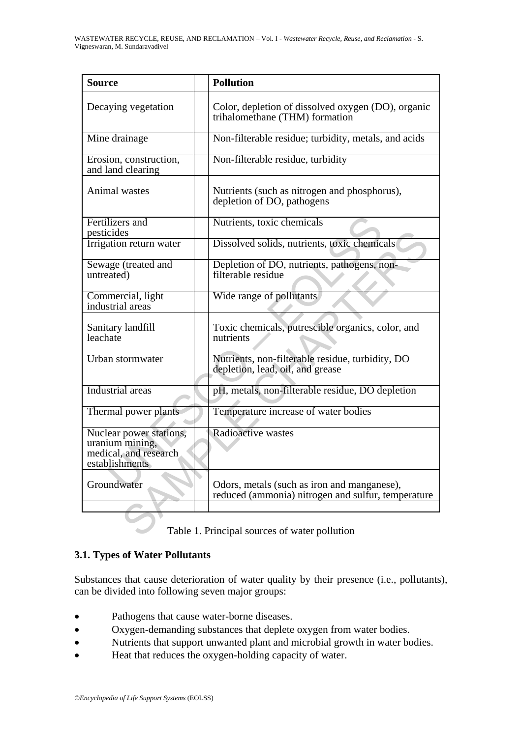| <b>Source</b>                                                                         | <b>Pollution</b>                                                                                  |
|---------------------------------------------------------------------------------------|---------------------------------------------------------------------------------------------------|
| Decaying vegetation                                                                   | Color, depletion of dissolved oxygen (DO), organic<br>trihalomethane (THM) formation              |
| Mine drainage                                                                         | Non-filterable residue; turbidity, metals, and acids                                              |
| Erosion, construction,<br>and land clearing                                           | Non-filterable residue, turbidity                                                                 |
| Animal wastes                                                                         | Nutrients (such as nitrogen and phosphorus),<br>depletion of DO, pathogens                        |
| Fertilizers and<br>pesticides                                                         | Nutrients, toxic chemicals                                                                        |
| Irrigation return water                                                               | Dissolved solids, nutrients, toxic chemicals                                                      |
| Sewage (treated and<br>untreated)                                                     | Depletion of DO, nutrients, pathogens, non-<br>filterable residue                                 |
| Commercial, light<br>industrial areas                                                 | Wide range of pollutants                                                                          |
| Sanitary landfill<br>leachate                                                         | Toxic chemicals, putrescible organics, color, and<br>nutrients                                    |
| Urban stormwater                                                                      | Nutrients, non-filterable residue, turbidity, DO<br>depletion, lead, oil, and grease              |
| Industrial areas                                                                      | pH, metals, non-filterable residue, DO depletion                                                  |
| Thermal power plants                                                                  | Temperature increase of water bodies                                                              |
| Nuclear power stations,<br>uranium mining,<br>medical, and research<br>establishments | Radioactive wastes                                                                                |
| Groundwater                                                                           | Odors, metals (such as iron and manganese),<br>reduced (ammonia) nitrogen and sulfur, temperature |
|                                                                                       | Table 1. Principal sources of water pollution                                                     |

# **3.1. Types of Water Pollutants**

Substances that cause deterioration of water quality by their presence (i.e., pollutants), can be divided into following seven major groups:

- Pathogens that cause water-borne diseases.
- Oxygen-demanding substances that deplete oxygen from water bodies.
- Nutrients that support unwanted plant and microbial growth in water bodies.
- Heat that reduces the oxygen-holding capacity of water.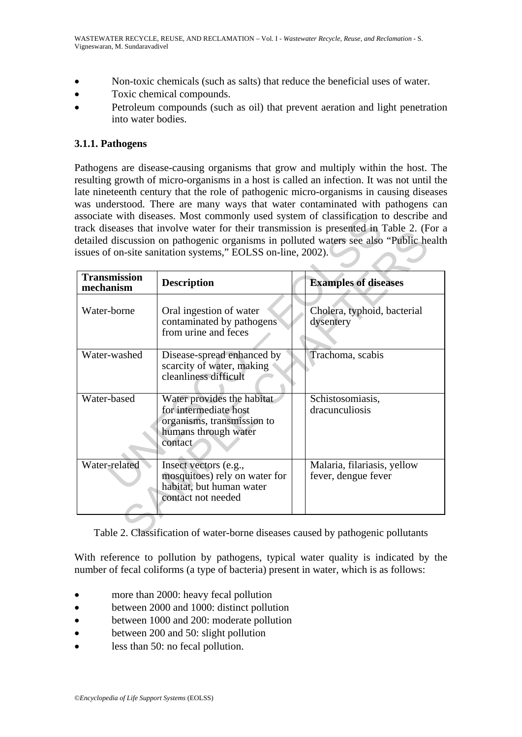- Non-toxic chemicals (such as salts) that reduce the beneficial uses of water.
- Toxic chemical compounds.
- Petroleum compounds (such as oil) that prevent aeration and light penetration into water bodies.

#### **3.1.1. Pathogens**

Pathogens are disease-causing organisms that grow and multiply within the host. The resulting growth of micro-organisms in a host is called an infection. It was not until the late nineteenth century that the role of pathogenic micro-organisms in causing diseases was understood. There are many ways that water contaminated with pathogens can associate with diseases. Most commonly used system of classification to describe and track diseases that involve water for their transmission is presented in Table 2. (For a detailed discussion on pathogenic organisms in polluted waters see also "Public health issues of on-site sanitation systems," EOLSS on-line, 2002).

| <b>Transmission</b> |                                                                                                                      |                                                    |
|---------------------|----------------------------------------------------------------------------------------------------------------------|----------------------------------------------------|
| mechanism           | <b>Description</b>                                                                                                   | <b>Examples of diseases</b>                        |
| Water-borne         | Oral ingestion of water<br>contaminated by pathogens<br>from urine and feces                                         | Cholera, typhoid, bacterial<br>dysentery           |
| Water-washed        | Disease-spread enhanced by<br>scarcity of water, making<br>cleanliness difficult                                     | Trachoma, scabis                                   |
| Water-based         | Water provides the habitat<br>for intermediate host<br>organisms, transmission to<br>humans through water<br>contact | Schistosomiasis,<br>dracunculiosis                 |
| Water-related       | Insect vectors (e.g.,<br>mosquitoes) rely on water for<br>habitat, but human water<br>contact not needed             | Malaria, filariasis, yellow<br>fever, dengue fever |

Table 2. Classification of water-borne diseases caused by pathogenic pollutants

With reference to pollution by pathogens, typical water quality is indicated by the number of fecal coliforms (a type of bacteria) present in water, which is as follows:

- more than 2000: heavy fecal pollution
- between 2000 and 1000: distinct pollution
- between 1000 and 200: moderate pollution
- between 200 and 50: slight pollution
- less than 50: no fecal pollution.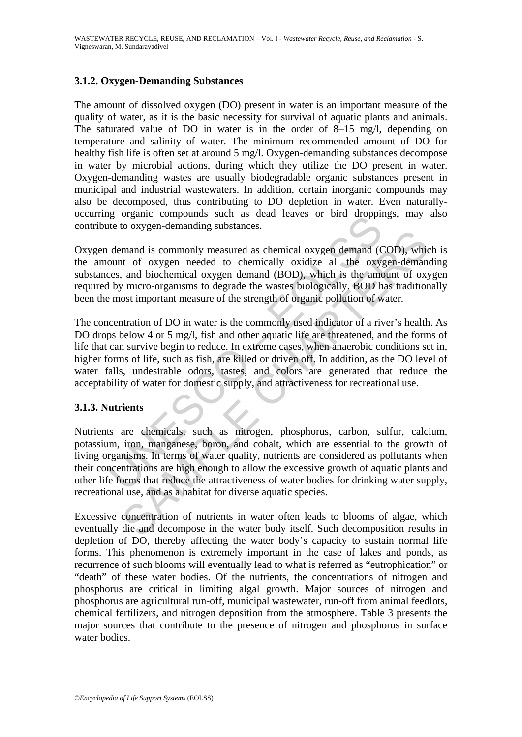#### **3.1.2. Oxygen-Demanding Substances**

The amount of dissolved oxygen (DO) present in water is an important measure of the quality of water, as it is the basic necessity for survival of aquatic plants and animals. The saturated value of DO in water is in the order of 8–15 mg/l, depending on temperature and salinity of water. The minimum recommended amount of DO for healthy fish life is often set at around 5 mg/l. Oxygen-demanding substances decompose in water by microbial actions, during which they utilize the DO present in water. Oxygen-demanding wastes are usually biodegradable organic substances present in municipal and industrial wastewaters. In addition, certain inorganic compounds may also be decomposed, thus contributing to DO depletion in water. Even naturallyoccurring organic compounds such as dead leaves or bird droppings, may also contribute to oxygen-demanding substances.

Oxygen demand is commonly measured as chemical oxygen demand (COD), which is the amount of oxygen needed to chemically oxidize all the oxygen-demanding substances, and biochemical oxygen demand (BOD), which is the amount of oxygen required by micro-organisms to degrade the wastes biologically. BOD has traditionally been the most important measure of the strength of organic pollution of water.

If the compounds such as dead leaves of bind unopportie to oxygen-demanding substances.<br>
In demand is commonly measured as chemical oxygen demand (Count of oxygen needed to chemically oxidize all the oxyges, and biochemica and is commonly measured as chemical oxygen demand (COD), which and is commonly measured as chemically oxidize all the oxygen-demand and and and oiochemical oxygen demand (BOD), which is the amount of oxygen-demand and mor The concentration of DO in water is the commonly used indicator of a river's health. As DO drops below 4 or 5 mg/l, fish and other aquatic life are threatened, and the forms of life that can survive begin to reduce. In extreme cases, when anaerobic conditions set in, higher forms of life, such as fish, are killed or driven off. In addition, as the DO level of water falls, undesirable odors, tastes, and colors are generated that reduce the acceptability of water for domestic supply, and attractiveness for recreational use.

#### **3.1.3. Nutrients**

Nutrients are chemicals, such as nitrogen, phosphorus, carbon, sulfur, calcium, potassium, iron, manganese, boron, and cobalt, which are essential to the growth of living organisms. In terms of water quality, nutrients are considered as pollutants when their concentrations are high enough to allow the excessive growth of aquatic plants and other life forms that reduce the attractiveness of water bodies for drinking water supply, recreational use, and as a habitat for diverse aquatic species.

Excessive concentration of nutrients in water often leads to blooms of algae, which eventually die and decompose in the water body itself. Such decomposition results in depletion of DO, thereby affecting the water body's capacity to sustain normal life forms. This phenomenon is extremely important in the case of lakes and ponds, as recurrence of such blooms will eventually lead to what is referred as "eutrophication" or "death" of these water bodies. Of the nutrients, the concentrations of nitrogen and phosphorus are critical in limiting algal growth. Major sources of nitrogen and phosphorus are agricultural run-off, municipal wastewater, run-off from animal feedlots, chemical fertilizers, and nitrogen deposition from the atmosphere. Table 3 presents the major sources that contribute to the presence of nitrogen and phosphorus in surface water bodies.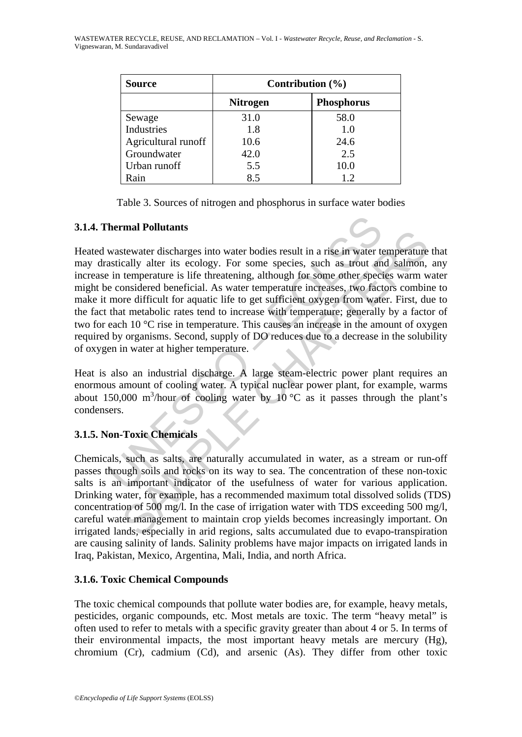| <b>Source</b>       | Contribution $(\% )$ |                   |  |
|---------------------|----------------------|-------------------|--|
|                     | <b>Nitrogen</b>      | <b>Phosphorus</b> |  |
| Sewage              | 31.0                 | 58.0              |  |
| Industries          | 1.8                  | 1.0               |  |
| Agricultural runoff | 10.6                 | 24.6              |  |
| Groundwater         | 42.0                 | 2.5               |  |
| Urban runoff        | 5.5                  | 10.0              |  |
| Rain                | 8.5                  | 1.2               |  |

Table 3. Sources of nitrogen and phosphorus in surface water bodies

#### **3.1.4. Thermal Pollutants**

**hermal Pollutants**<br>
wastewater discharges into water bodies result in a rise in water to<br>
astically alter its ecology. For some species, such as trout an<br>
in temperature is life threatening, although for some other speci **EXERCATE:**<br>
SERVANCE THE SCOODY. For some species, such as trout and salmon,<br>
calculy alter its ecology. For some species, such as trout and salmon,<br>
temperature is life threatening, although for some other species warm Heated wastewater discharges into water bodies result in a rise in water temperature that may drastically alter its ecology. For some species, such as trout and salmon, any increase in temperature is life threatening, although for some other species warm water might be considered beneficial. As water temperature increases, two factors combine to make it more difficult for aquatic life to get sufficient oxygen from water. First, due to the fact that metabolic rates tend to increase with temperature; generally by a factor of two for each 10 °C rise in temperature. This causes an increase in the amount of oxygen required by organisms. Second, supply of DO reduces due to a decrease in the solubility of oxygen in water at higher temperature.

Heat is also an industrial discharge. A large steam-electric power plant requires an enormous amount of cooling water. A typical nuclear power plant, for example, warms about 150,000 m<sup>3</sup>/hour of cooling water by 10 °C as it passes through the plant's condensers.

# **3.1.5. Non-Toxic Chemicals**

Chemicals, such as salts, are naturally accumulated in water, as a stream or run-off passes through soils and rocks on its way to sea. The concentration of these non-toxic salts is an important indicator of the usefulness of water for various application. Drinking water, for example, has a recommended maximum total dissolved solids (TDS) concentration of 500 mg/l. In the case of irrigation water with TDS exceeding 500 mg/l, careful water management to maintain crop yields becomes increasingly important. On irrigated lands, especially in arid regions, salts accumulated due to evapo-transpiration are causing salinity of lands. Salinity problems have major impacts on irrigated lands in Iraq, Pakistan, Mexico, Argentina, Mali, India, and north Africa.

# **3.1.6. Toxic Chemical Compounds**

The toxic chemical compounds that pollute water bodies are, for example, heavy metals, pesticides, organic compounds, etc. Most metals are toxic. The term "heavy metal" is often used to refer to metals with a specific gravity greater than about 4 or 5. In terms of their environmental impacts, the most important heavy metals are mercury (Hg), chromium (Cr), cadmium (Cd), and arsenic (As). They differ from other toxic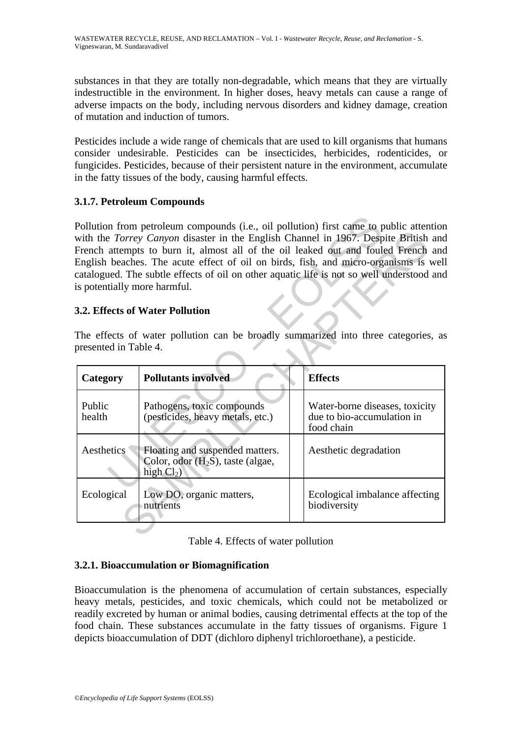substances in that they are totally non-degradable, which means that they are virtually indestructible in the environment. In higher doses, heavy metals can cause a range of adverse impacts on the body, including nervous disorders and kidney damage, creation of mutation and induction of tumors.

Pesticides include a wide range of chemicals that are used to kill organisms that humans consider undesirable. Pesticides can be insecticides, herbicides, rodenticides, or fungicides. Pesticides, because of their persistent nature in the environment, accumulate in the fatty tissues of the body, causing harmful effects.

# **3.1.7. Petroleum Compounds**

# **3.2. Effects of Water Pollution**

| Pollution from petroleum compounds (i.e., oil pollution) first came to public attention<br>with the Torrey Canyon disaster in the English Channel in 1967. Despite British and<br>French attempts to burn it, almost all of the oil leaked out and fouled French and<br>English beaches. The acute effect of oil on birds, fish, and micro-organisms is well<br>catalogued. The subtle effects of oil on other aquatic life is not so well understood and<br>is potentially more harmful.<br>3.2. Effects of Water Pollution<br>The effects of water pollution can be broadly summarized into three categories, as |                                                                                                                           |                                                                            |  |  |
|--------------------------------------------------------------------------------------------------------------------------------------------------------------------------------------------------------------------------------------------------------------------------------------------------------------------------------------------------------------------------------------------------------------------------------------------------------------------------------------------------------------------------------------------------------------------------------------------------------------------|---------------------------------------------------------------------------------------------------------------------------|----------------------------------------------------------------------------|--|--|
|                                                                                                                                                                                                                                                                                                                                                                                                                                                                                                                                                                                                                    | presented in Table 4.                                                                                                     |                                                                            |  |  |
| Category                                                                                                                                                                                                                                                                                                                                                                                                                                                                                                                                                                                                           | <b>Pollutants involved</b>                                                                                                | <b>Effects</b>                                                             |  |  |
| Public<br>health                                                                                                                                                                                                                                                                                                                                                                                                                                                                                                                                                                                                   | Pathogens, toxic compounds<br>(pesticides, heavy metals, etc.)                                                            | Water-borne diseases, toxicity<br>due to bio-accumulation in<br>food chain |  |  |
| Aesthetics                                                                                                                                                                                                                                                                                                                                                                                                                                                                                                                                                                                                         | Floating and suspended matters.<br>Aesthetic degradation<br>Color, odor (H <sub>2</sub> S), taste (algae,<br>high $Cl2$ ) |                                                                            |  |  |
| Ecological                                                                                                                                                                                                                                                                                                                                                                                                                                                                                                                                                                                                         | Low DO, organic matters,<br>nutrients                                                                                     | Ecological imbalance affecting<br>biodiversity                             |  |  |
|                                                                                                                                                                                                                                                                                                                                                                                                                                                                                                                                                                                                                    |                                                                                                                           |                                                                            |  |  |

|  |  |  |  | Table 4. Effects of water pollution |
|--|--|--|--|-------------------------------------|
|--|--|--|--|-------------------------------------|

# **3.2.1. Bioaccumulation or Biomagnification**

Bioaccumulation is the phenomena of accumulation of certain substances, especially heavy metals, pesticides, and toxic chemicals, which could not be metabolized or readily excreted by human or animal bodies, causing detrimental effects at the top of the food chain. These substances accumulate in the fatty tissues of organisms. Figure 1 depicts bioaccumulation of DDT (dichloro diphenyl trichloroethane), a pesticide.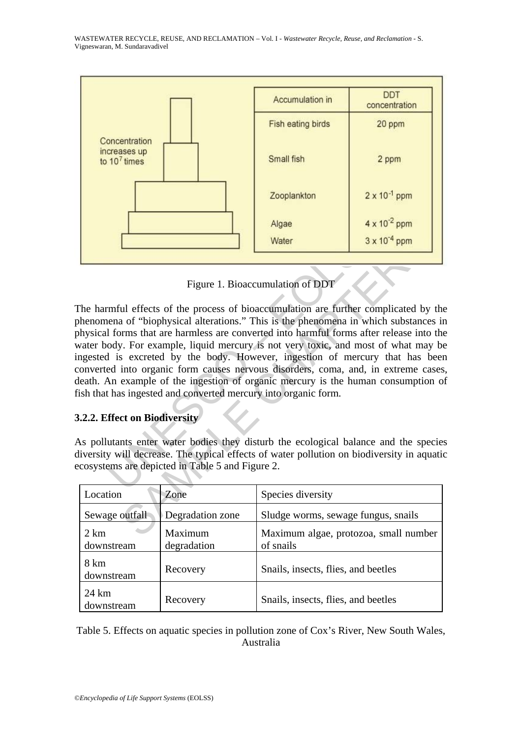

Figure 1. Bioaccumulation of DDT

Algae<br>
Water<br>
Water<br>
Water<br>
Water<br>
Water<br>
Water<br>
Water<br>
Water<br>
Water<br>
Water<br>
1999 - Algae<br>
The University<br>
This is the phenomena in which<br>
I forms that are harmless are converted into harmful forms after rody.<br>
I is excret Water 3x 10<sup>4</sup> ppm<br>
Figure 1. Bioaccumulation of DDT<br>
Il effects of the process of bioaccumulation are further complicated by<br>
1 of "biophysical alterations." This is the phenomena in which substance<br>
Irms that are harmles The harmful effects of the process of bioaccumulation are further complicated by the phenomena of "biophysical alterations." This is the phenomena in which substances in physical forms that are harmless are converted into harmful forms after release into the water body. For example, liquid mercury is not very toxic, and most of what may be ingested is excreted by the body. However, ingestion of mercury that has been converted into organic form causes nervous disorders, coma, and, in extreme cases, death. An example of the ingestion of organic mercury is the human consumption of fish that has ingested and converted mercury into organic form.

# **3.2.2. Effect on Biodiversity**

As pollutants enter water bodies they disturb the ecological balance and the species diversity will decrease. The typical effects of water pollution on biodiversity in aquatic ecosystems are depicted in Table 5 and Figure 2.

| Location                      | Zone                   | Species diversity                                  |
|-------------------------------|------------------------|----------------------------------------------------|
| Sewage outfall                | Degradation zone       | Sludge worms, sewage fungus, snails                |
| $2 \text{ km}$<br>downstream  | Maximum<br>degradation | Maximum algae, protozoa, small number<br>of snails |
| 8 km<br>downstream            | Recovery               | Snails, insects, flies, and beetles                |
| $24 \text{ km}$<br>downstream | Recovery               | Snails, insects, flies, and beetles                |

Table 5. Effects on aquatic species in pollution zone of Cox's River, New South Wales, Australia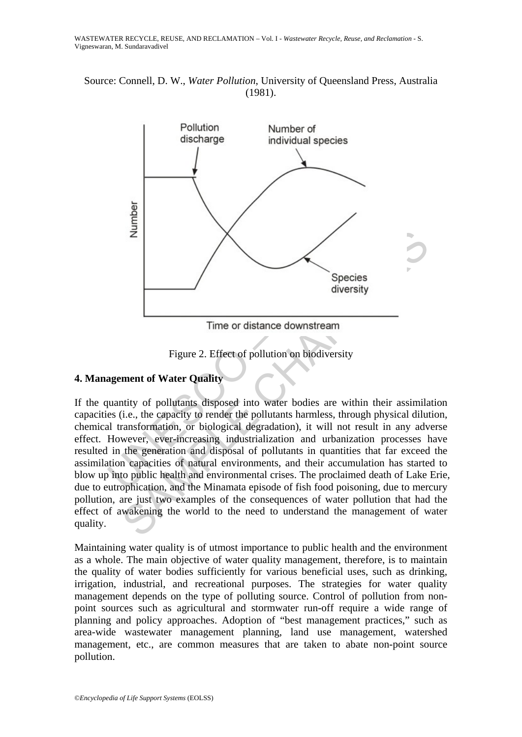Source: Connell, D. W., *Water Pollution*, University of Queensland Press, Australia (1981).



Figure 2. Effect of pollution on biodiversity

# **4. Management of Water Quality**

 $\overline{z}$ <br>
Species<br>
Species<br>
diversity<br>
Time or distance downstream<br>
Figure 2. Effect of pollution on biodiversity<br>
ment of Water Quality<br>
ment of Water Quality<br>
diversity<br>
ment of Water Quality<br>
diversity<br>
the capacity to If the quantity of pollutants disposed into water bodies are within their assimilation capacities (i.e., the capacity to render the pollutants harmless, through physical dilution, chemical transformation, or biological degradation), it will not result in any adverse effect. However, ever-increasing industrialization and urbanization processes have resulted in the generation and disposal of pollutants in quantities that far exceed the assimilation capacities of natural environments, and their accumulation has started to blow up into public health and environmental crises. The proclaimed death of Lake Erie, due to eutrophication, and the Minamata episode of fish food poisoning, due to mercury pollution, are just two examples of the consequences of water pollution that had the effect of awakening the world to the need to understand the management of water quality.

Maintaining water quality is of utmost importance to public health and the environment as a whole. The main objective of water quality management, therefore, is to maintain the quality of water bodies sufficiently for various beneficial uses, such as drinking, irrigation, industrial, and recreational purposes. The strategies for water quality management depends on the type of polluting source. Control of pollution from nonpoint sources such as agricultural and stormwater run-off require a wide range of planning and policy approaches. Adoption of "best management practices," such as area-wide wastewater management planning, land use management, watershed management, etc., are common measures that are taken to abate non-point source pollution.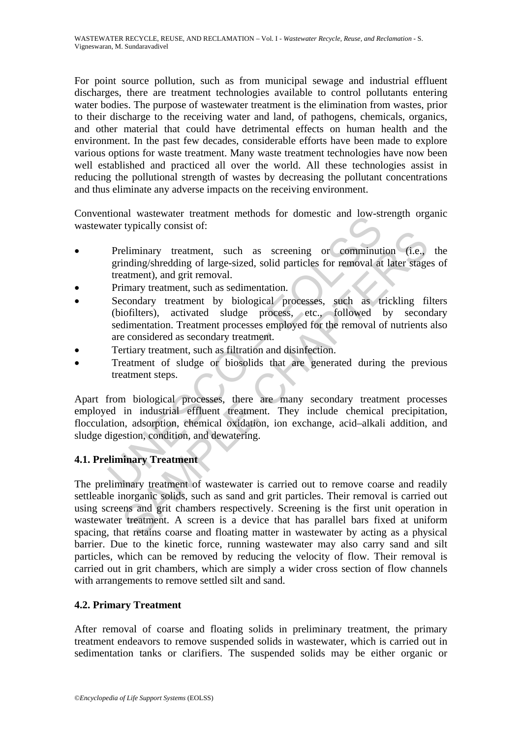For point source pollution, such as from municipal sewage and industrial effluent discharges, there are treatment technologies available to control pollutants entering water bodies. The purpose of wastewater treatment is the elimination from wastes, prior to their discharge to the receiving water and land, of pathogens, chemicals, organics, and other material that could have detrimental effects on human health and the environment. In the past few decades, considerable efforts have been made to explore various options for waste treatment. Many waste treatment technologies have now been well established and practiced all over the world. All these technologies assist in reducing the pollutional strength of wastes by decreasing the pollutant concentrations and thus eliminate any adverse impacts on the receiving environment.

Conventional wastewater treatment methods for domestic and low-strength organic wastewater typically consist of:

- Preliminary treatment, such as screening or comminution (i.e., the grinding/shredding of large-sized, solid particles for removal at later stages of treatment), and grit removal.
- Primary treatment, such as sedimentation.
- Secondary treatment by biological processes, such as trickling filters (biofilters), activated sludge process, etc., followed by secondary sedimentation. Treatment processes employed for the removal of nutrients also are considered as secondary treatment.
- Tertiary treatment, such as filtration and disinfection.
- Treatment of sludge or biosolids that are generated during the previous treatment steps.

independent methods for domestic and low-stater typically consist of:<br>
Preliminary treatment, such as screening or comminuti<br>
grinding/shredding of large-sized, solid particles for removal at<br>
treatment), and grit removal. Apart from biological processes, there are many secondary treatment processes employed in industrial effluent treatment. They include chemical precipitation, flocculation, adsorption, chemical oxidation, ion exchange, acid–alkali addition, and sludge digestion, condition, and dewatering.

# **4.1. Preliminary Treatment**

eliminary treatment, such as screening or comminution (i.e., indiming/shredding of large-sized, solid particles for removal at later stage<br>aatment), and grit removal.<br>imary treatment, such as sedimentation.<br>condary treatme The preliminary treatment of wastewater is carried out to remove coarse and readily settleable inorganic solids, such as sand and grit particles. Their removal is carried out using screens and grit chambers respectively. Screening is the first unit operation in wastewater treatment. A screen is a device that has parallel bars fixed at uniform spacing, that retains coarse and floating matter in wastewater by acting as a physical barrier. Due to the kinetic force, running wastewater may also carry sand and silt particles, which can be removed by reducing the velocity of flow. Their removal is carried out in grit chambers, which are simply a wider cross section of flow channels with arrangements to remove settled silt and sand.

# **4.2. Primary Treatment**

After removal of coarse and floating solids in preliminary treatment, the primary treatment endeavors to remove suspended solids in wastewater, which is carried out in sedimentation tanks or clarifiers. The suspended solids may be either organic or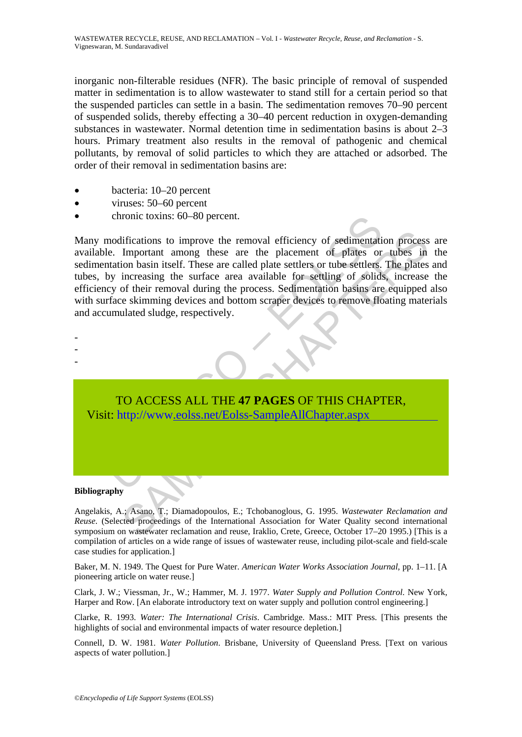inorganic non-filterable residues (NFR). The basic principle of removal of suspended matter in sedimentation is to allow wastewater to stand still for a certain period so that the suspended particles can settle in a basin. The sedimentation removes 70–90 percent of suspended solids, thereby effecting a 30–40 percent reduction in oxygen-demanding substances in wastewater. Normal detention time in sedimentation basins is about 2–3 hours. Primary treatment also results in the removal of pathogenic and chemical pollutants, by removal of solid particles to which they are attached or adsorbed. The order of their removal in sedimentation basins are:

- bacteria: 10–20 percent
- viruses: 50–60 percent
- chronic toxins: 60–80 percent.

chronic toxins: 60–80 percent.<br>
modifications to improve the removal efficiency of sedimentatie.<br>
e. Important among these are the placement of plates or<br>
tatation basin itself. These are called plate settlers or two settl lifications to improve the removal efficiency of sedimentation process<br>
Important among these are called plate settlers or tubes stillers in<br>
increasing the surface area available for settling of solids, increase<br>
increasi Many modifications to improve the removal efficiency of sedimentation process are available. Important among these are the placement of plates or tubes in the sedimentation basin itself. These are called plate settlers or tube settlers. The plates and tubes, by increasing the surface area available for settling of solids, increase the efficiency of their removal during the process. Sedimentation basins are equipped also with surface skimming devices and bottom scraper devices to remove floating materials and accumulated sludge, respectively.



#### **Bibliography**

- - -

Angelakis, A.; Asano, T.; Diamadopoulos, E.; Tchobanoglous, G. 1995. *Wastewater Reclamation and Reuse*. (Selected proceedings of the International Association for Water Quality second international symposium on wastewater reclamation and reuse, Iraklio, Crete, Greece, October 17–20 1995.) [This is a compilation of articles on a wide range of issues of wastewater reuse, including pilot-scale and field-scale case studies for application.]

Baker, M. N. 1949. The Quest for Pure Water. *American Water Works Association Journal*, pp. 1–11. [A pioneering article on water reuse.]

Clark, J. W.; Viessman, Jr., W.; Hammer, M. J. 1977. *Water Supply and Pollution Control*. New York, Harper and Row. [An elaborate introductory text on water supply and pollution control engineering.]

Clarke, R. 1993. *Water: The International Crisis*. Cambridge. Mass.: MIT Press. [This presents the highlights of social and environmental impacts of water resource depletion.]

Connell, D. W. 1981. *Water Pollution*. Brisbane, University of Queensland Press. [Text on various aspects of water pollution.]